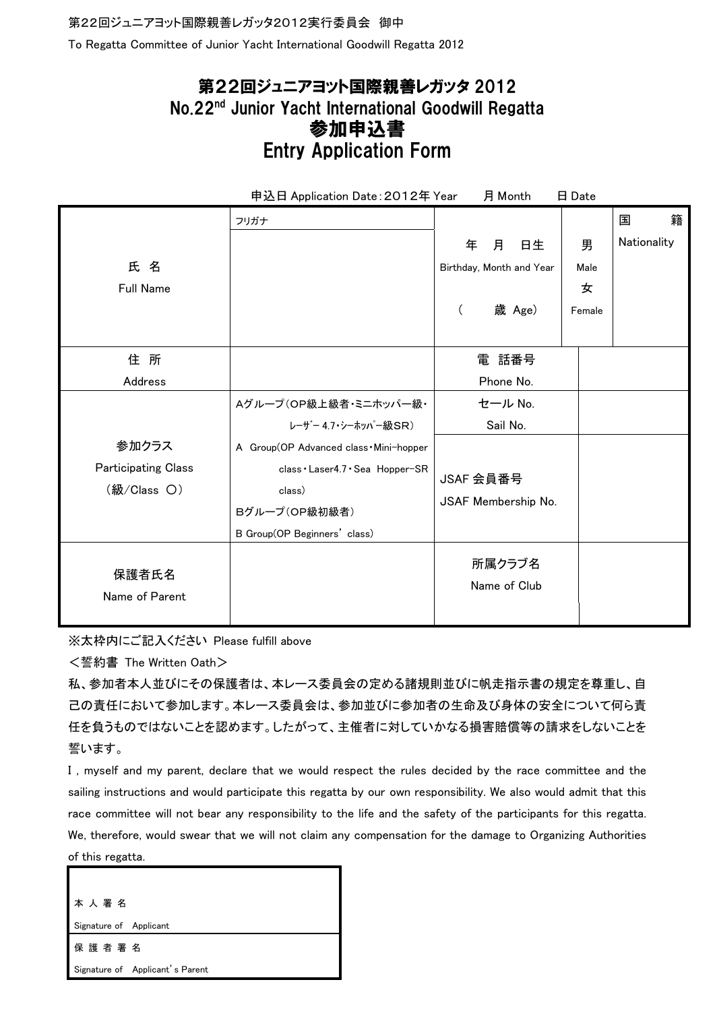To Regatta Committee of Junior Yacht International Goodwill Regatta 2012

## 第22回ジュニアヨット国際親善レガッタ 2012 No.22nd Junior Yacht International Goodwill Regatta 参加申込書 Entry Application Form

| 申込日 Application Date : 2012年 Year<br>月 Month<br>日 Date              |                                                                                                                                                                                        |                                                                               |                                                   |
|---------------------------------------------------------------------|----------------------------------------------------------------------------------------------------------------------------------------------------------------------------------------|-------------------------------------------------------------------------------|---------------------------------------------------|
| 氏名<br><b>Full Name</b>                                              | フリガナ                                                                                                                                                                                   | 年<br>月<br>日生<br>Birthday, Month and Year<br>歳 Age)<br>$\left($                | 籍<br>国<br>Nationality<br>男<br>Male<br>女<br>Female |
| 住所<br>Address<br>参加クラス<br><b>Participating Class</b><br>(級/Class O) | Aグループ(OP級上級者・ミニホッパー級·<br>レーザー 4.7・シーホッパー級SR)<br>A Group(OP Advanced class . Mini-hopper<br>class · Laser4.7 · Sea Hopper-SR<br>class)<br>Bグループ(OP級初級者)<br>B Group(OP Beginners' class) | 電 話番号<br>Phone No.<br>セール No.<br>Sail No.<br>JSAF 会員番号<br>JSAF Membership No. |                                                   |
| 保護者氏名<br>Name of Parent                                             |                                                                                                                                                                                        | 所属クラブ名<br>Name of Club                                                        |                                                   |

※太枠内にご記入ください Please fulfill above

<誓約書 The Written Oath>

私、参加者本人並びにその保護者は、本レース委員会の定める諸規則並びに帆走指示書の規定を尊重し、自 己の責任において参加します。本レース委員会は、参加並びに参加者の生命及び身体の安全について何ら責 任を負うものではないことを認めます。したがって、主催者に対していかなる損害賠償等の請求をしないことを 誓います。

I , myself and my parent, declare that we would respect the rules decided by the race committee and the sailing instructions and would participate this regatta by our own responsibility. We also would admit that this race committee will not bear any responsibility to the life and the safety of the participants for this regatta. We, therefore, would swear that we will not claim any compensation for the damage to Organizing Authorities of this regatta.

本 人 署 名 Signature of Applicant 保 護 者 署 名 Signature of Applicant's Parent